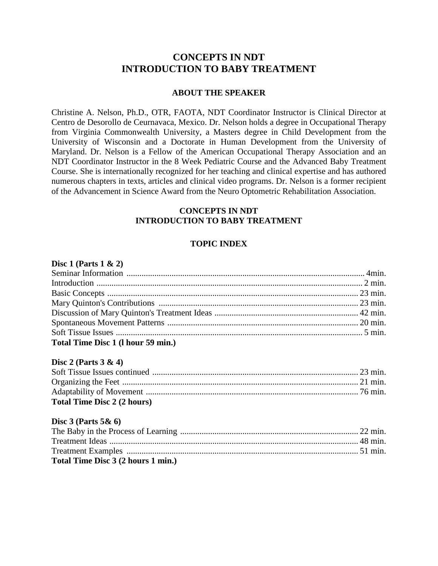# **CONCEPTS IN NDT INTRODUCTION TO BABY TREATMENT**

## **ABOUT THE SPEAKER**

Christine A. Nelson, Ph.D., OTR, FAOTA, NDT Coordinator Instructor is Clinical Director at Centro de Desorollo de Ceurnavaca, Mexico. Dr. Nelson holds a degree in Occupational Therapy from Virginia Commonwealth University, a Masters degree in Child Development from the University of Wisconsin and a Doctorate in Human Development from the University of Maryland. Dr. Nelson is a Fellow of the American Occupational Therapy Association and an NDT Coordinator Instructor in the 8 Week Pediatric Course and the Advanced Baby Treatment Course. She is internationally recognized for her teaching and clinical expertise and has authored numerous chapters in texts, articles and clinical video programs. Dr. Nelson is a former recipient of the Advancement in Science Award from the Neuro Optometric Rehabilitation Association.

# **CONCEPTS IN NDT INTRODUCTION TO BABY TREATMENT**

# **TOPIC INDEX**

### **Disc 1 (Parts 1 & 2)**

| Total Time Disc 1 (1 hour 59 min.) |  |
|------------------------------------|--|

### **Disc 2 (Parts 3 & 4)**

| <b>Total Time Disc 2 (2 hours)</b> |  |
|------------------------------------|--|

### **Disc 3 (Parts 5& 6)**

| Total Time Disc 3 (2 hours 1 min.) |  |
|------------------------------------|--|